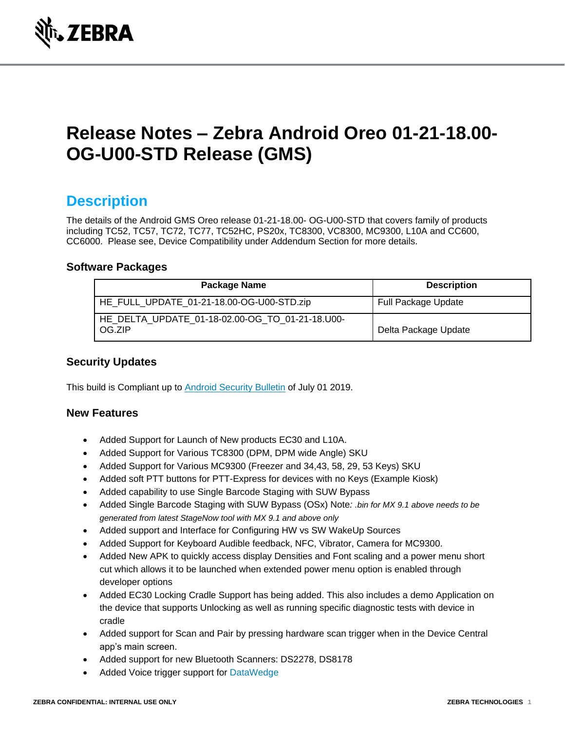

# **Release Notes – Zebra Android Oreo 01-21-18.00- OG-U00-STD Release (GMS)**

### **Description**

The details of the Android GMS Oreo release 01-21-18.00- OG-U00-STD that covers family of products including TC52, TC57, TC72, TC77, TC52HC, PS20x, TC8300, VC8300, MC9300, L10A and CC600, CC6000. Please see, Device Compatibility under Addendum Section for more details.

#### **Software Packages**

| Package Name                                              | <b>Description</b>         |
|-----------------------------------------------------------|----------------------------|
| HE_FULL_UPDATE_01-21-18.00-OG-U00-STD.zip                 | <b>Full Package Update</b> |
| HE DELTA UPDATE 01-18-02.00-OG TO 01-21-18.U00-<br>OG.ZIP | Delta Package Update       |

#### **Security Updates**

This build is Compliant up to [Android Security Bulletin](https://source.android.com/security/bulletin/) of July 01 2019.

#### **New Features**

- Added Support for Launch of New products EC30 and L10A.
- Added Support for Various TC8300 (DPM, DPM wide Angle) SKU
- Added Support for Various MC9300 (Freezer and 34,43, 58, 29, 53 Keys) SKU
- Added soft PTT buttons for PTT-Express for devices with no Keys (Example Kiosk)
- Added capability to use Single Barcode Staging with SUW Bypass
- Added Single Barcode Staging with SUW Bypass (OSx) Note*: .bin for MX 9.1 above needs to be generated from latest StageNow tool with MX 9.1 and above only*
- Added support and Interface for Configuring HW vs SW WakeUp Sources
- Added Support for Keyboard Audible feedback, NFC, Vibrator, Camera for MC9300.
- Added New APK to quickly access display Densities and Font scaling and a power menu short cut which allows it to be launched when extended power menu option is enabled through developer options
- Added EC30 Locking Cradle Support has being added. This also includes a demo Application on the device that supports Unlocking as well as running specific diagnostic tests with device in cradle
- Added support for Scan and Pair by pressing hardware scan trigger when in the Device Central app's main screen.
- Added support for new Bluetooth Scanners: DS2278, DS8178
- Added Voice trigger support for [DataWedge](https://www.zebra.com/us/en/support-downloads/software.html)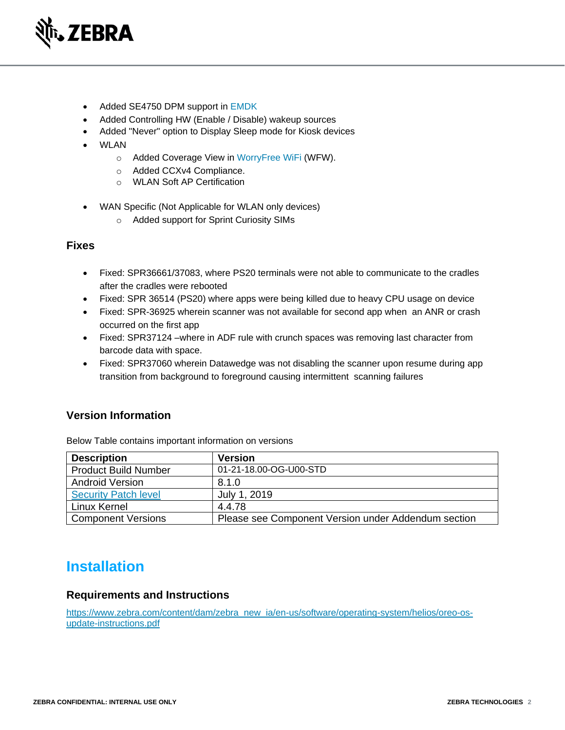

- Added SE4750 DPM support in [EMDK](https://www.zebra.com/us/en/support-downloads/software/developer-tools/emdk-for-android.html)
- Added Controlling HW (Enable / Disable) wakeup sources
- Added "Never" option to Display Sleep mode for Kiosk devices
- WLAN
	- o Added Coverage View in [WorryFree WiFi](https://www.zebra.com/us/en/support-downloads/software/productivity-apps/worryfree-wifi.html) (WFW).
	- o Added CCXv4 Compliance.
	- o WLAN Soft AP Certification
- WAN Specific (Not Applicable for WLAN only devices)
	- o Added support for Sprint Curiosity SIMs

#### **Fixes**

- Fixed: SPR36661/37083, where PS20 terminals were not able to communicate to the cradles after the cradles were rebooted
- Fixed: SPR 36514 (PS20) where apps were being killed due to heavy CPU usage on device
- Fixed: SPR-36925 wherein scanner was not available for second app when an ANR or crash occurred on the first app
- Fixed: SPR37124 –where in ADF rule with crunch spaces was removing last character from barcode data with space.
- Fixed: SPR37060 wherein Datawedge was not disabling the scanner upon resume during app transition from background to foreground causing intermittent scanning failures

#### **Version Information**

| <b>Description</b>          | <b>Version</b>                                      |
|-----------------------------|-----------------------------------------------------|
| <b>Product Build Number</b> | 01-21-18.00-OG-U00-STD                              |
| <b>Android Version</b>      | 8.1.0                                               |
| <b>Security Patch level</b> | July 1, 2019                                        |
| Linux Kernel                | 4.4.78                                              |
| <b>Component Versions</b>   | Please see Component Version under Addendum section |

Below Table contains important information on versions

### **Installation**

#### **Requirements and Instructions**

[https://www.zebra.com/content/dam/zebra\\_new\\_ia/en-us/software/operating-system/helios/oreo-os](https://www.zebra.com/content/dam/zebra_new_ia/en-us/software/operating-system/helios/oreo-os-update-instructions.pdf)[update-instructions.pdf](https://www.zebra.com/content/dam/zebra_new_ia/en-us/software/operating-system/helios/oreo-os-update-instructions.pdf)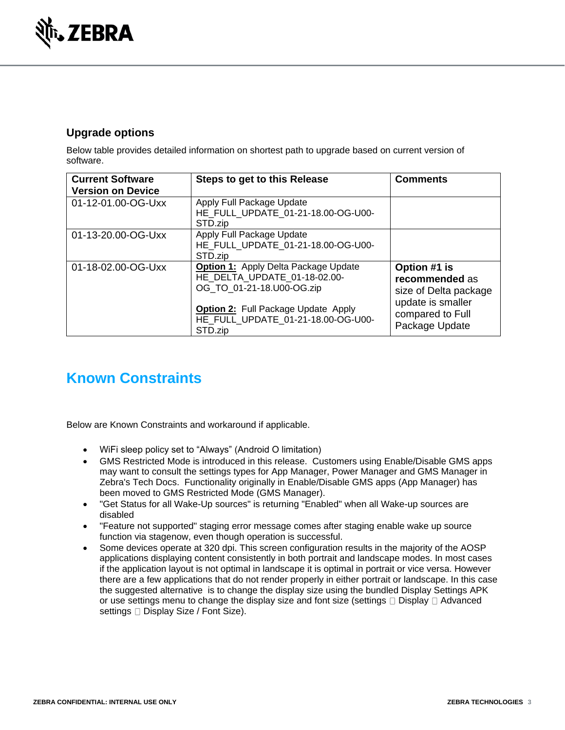

### **Upgrade options**

Below table provides detailed information on shortest path to upgrade based on current version of software.

| <b>Current Software</b><br><b>Version on Device</b> | Steps to get to this Release                                                                             | <b>Comments</b>                                                              |
|-----------------------------------------------------|----------------------------------------------------------------------------------------------------------|------------------------------------------------------------------------------|
| 01-12-01.00-OG-Uxx                                  | Apply Full Package Update<br>HE_FULL_UPDATE_01-21-18.00-OG-U00-<br>STD.zip                               |                                                                              |
| 01-13-20.00-OG-Uxx                                  | Apply Full Package Update<br>HE FULL UPDATE 01-21-18.00-OG-U00-<br>STD.zip                               |                                                                              |
| 01-18-02.00-OG-Uxx                                  | <b>Option 1:</b> Apply Delta Package Update<br>HE DELTA UPDATE 01-18-02.00-<br>OG TO 01-21-18.U00-OG.zip | Option #1 is<br>recommended as<br>size of Delta package<br>update is smaller |
|                                                     | <b>Option 2:</b> Full Package Update Apply<br>HE_FULL_UPDATE_01-21-18.00-OG-U00-<br>STD.zip              | compared to Full<br>Package Update                                           |

## **Known Constraints**

Below are Known Constraints and workaround if applicable.

- WiFi sleep policy set to "Always" (Android O limitation)
- GMS Restricted Mode is introduced in this release. Customers using Enable/Disable GMS apps may want to consult the settings types for App Manager, Power Manager and GMS Manager in Zebra's Tech Docs. Functionality originally in Enable/Disable GMS apps (App Manager) has been moved to GMS Restricted Mode (GMS Manager).
- "Get Status for all Wake-Up sources" is returning "Enabled" when all Wake-up sources are disabled
- "Feature not supported" staging error message comes after staging enable wake up source function via stagenow, even though operation is successful.
- Some devices operate at 320 dpi. This screen configuration results in the majority of the AOSP applications displaying content consistently in both portrait and landscape modes. In most cases if the application layout is not optimal in landscape it is optimal in portrait or vice versa. However there are a few applications that do not render properly in either portrait or landscape. In this case the suggested alternative is to change the display size using the bundled Display Settings APK or use settings menu to change the display size and font size (settings  $\Box$  Display  $\Box$  Advanced settings  $\Box$  Display Size / Font Size).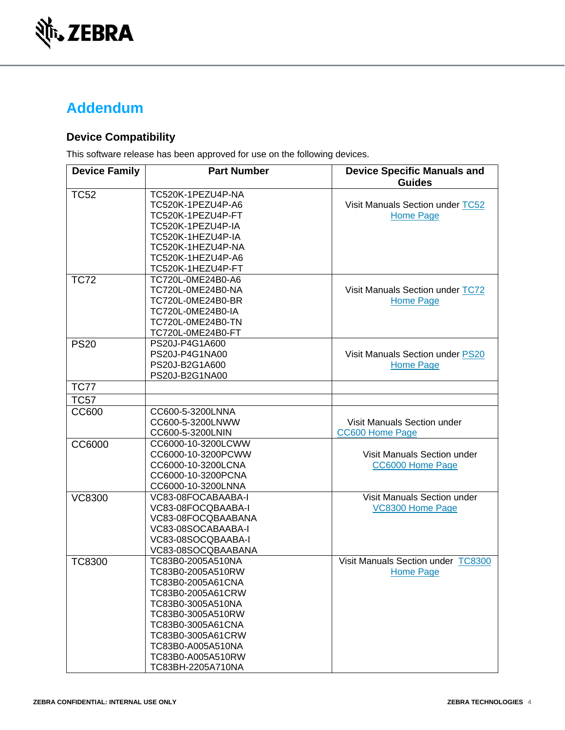

## **Addendum**

### **Device Compatibility**

This software release has been approved for use on the following devices.

| <b>Device Family</b> | <b>Part Number</b>                       | <b>Device Specific Manuals and</b><br><b>Guides</b> |
|----------------------|------------------------------------------|-----------------------------------------------------|
| <b>TC52</b>          | TC520K-1PEZU4P-NA<br>TC520K-1PEZU4P-A6   | Visit Manuals Section under TC52                    |
|                      | TC520K-1PEZU4P-FT                        | <b>Home Page</b>                                    |
|                      | TC520K-1PEZU4P-IA<br>TC520K-1HEZU4P-IA   |                                                     |
|                      | TC520K-1HEZU4P-NA                        |                                                     |
|                      | TC520K-1HEZU4P-A6                        |                                                     |
|                      | TC520K-1HEZU4P-FT                        |                                                     |
| <b>TC72</b>          | TC720L-0ME24B0-A6                        |                                                     |
|                      | TC720L-0ME24B0-NA                        | Visit Manuals Section under TC72                    |
|                      | TC720L-0ME24B0-BR                        | <b>Home Page</b>                                    |
|                      | TC720L-0ME24B0-IA                        |                                                     |
|                      | TC720L-0ME24B0-TN                        |                                                     |
|                      | TC720L-0ME24B0-FT                        |                                                     |
| <b>PS20</b>          | PS20J-P4G1A600                           |                                                     |
|                      | PS20J-P4G1NA00                           | Visit Manuals Section under PS20                    |
|                      | PS20J-B2G1A600                           | <b>Home Page</b>                                    |
|                      | PS20J-B2G1NA00                           |                                                     |
| <b>TC77</b>          |                                          |                                                     |
| <b>TC57</b>          |                                          |                                                     |
| <b>CC600</b>         | CC600-5-3200LNNA                         |                                                     |
|                      | CC600-5-3200LNWW                         | Visit Manuals Section under                         |
|                      | CC600-5-3200LNIN                         | <b>CC600 Home Page</b>                              |
| CC6000               | CC6000-10-3200LCWW                       |                                                     |
|                      | CC6000-10-3200PCWW                       | Visit Manuals Section under                         |
|                      | CC6000-10-3200LCNA                       | CC6000 Home Page                                    |
|                      | CC6000-10-3200PCNA<br>CC6000-10-3200LNNA |                                                     |
| <b>VC8300</b>        | VC83-08FOCABAABA-I                       | Visit Manuals Section under                         |
|                      | VC83-08FOCQBAABA-I                       | VC8300 Home Page                                    |
|                      | VC83-08FOCQBAABANA                       |                                                     |
|                      | VC83-08SOCABAABA-I                       |                                                     |
|                      | VC83-08SOCQBAABA-I                       |                                                     |
|                      | VC83-08SOCQBAABANA                       |                                                     |
| <b>TC8300</b>        | TC83B0-2005A510NA                        | Visit Manuals Section under TC8300                  |
|                      | TC83B0-2005A510RW                        | Home Page                                           |
|                      | TC83B0-2005A61CNA                        |                                                     |
|                      | TC83B0-2005A61CRW                        |                                                     |
|                      | TC83B0-3005A510NA                        |                                                     |
|                      | TC83B0-3005A510RW                        |                                                     |
|                      | TC83B0-3005A61CNA                        |                                                     |
|                      | TC83B0-3005A61CRW                        |                                                     |
|                      | TC83B0-A005A510NA                        |                                                     |
|                      | TC83B0-A005A510RW                        |                                                     |
|                      | TC83BH-2205A710NA                        |                                                     |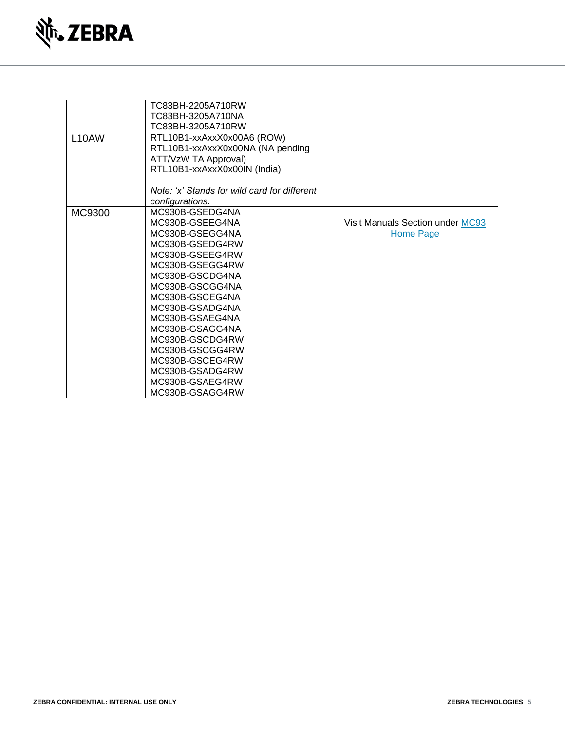

|        | TC83BH-2205A710RW                            |                                  |
|--------|----------------------------------------------|----------------------------------|
|        | TC83BH-3205A710NA                            |                                  |
|        | TC83BH-3205A710RW                            |                                  |
| L10AW  | RTL10B1-xxAxxX0x00A6 (ROW)                   |                                  |
|        | RTL10B1-xxAxxX0x00NA (NA pending             |                                  |
|        | ATT/VzW TA Approval)                         |                                  |
|        | RTL10B1-xxAxxX0x00IN (India)                 |                                  |
|        |                                              |                                  |
|        | Note: 'x' Stands for wild card for different |                                  |
|        | configurations.                              |                                  |
| MC9300 | MC930B-GSEDG4NA                              |                                  |
|        | MC930B-GSEEG4NA                              | Visit Manuals Section under MC93 |
|        | MC930B-GSEGG4NA                              | <b>Home Page</b>                 |
|        | MC930B-GSEDG4RW                              |                                  |
|        | MC930B-GSEEG4RW                              |                                  |
|        | MC930B-GSEGG4RW                              |                                  |
|        | MC930B-GSCDG4NA                              |                                  |
|        | MC930B-GSCGG4NA                              |                                  |
|        | MC930B-GSCEG4NA                              |                                  |
|        | MC930B-GSADG4NA                              |                                  |
|        | MC930B-GSAEG4NA                              |                                  |
|        | MC930B-GSAGG4NA                              |                                  |
|        | MC930B-GSCDG4RW                              |                                  |
|        | MC930B-GSCGG4RW                              |                                  |
|        | MC930B-GSCEG4RW                              |                                  |
|        | MC930B-GSADG4RW                              |                                  |
|        | MC930B-GSAEG4RW                              |                                  |
|        | MC930B-GSAGG4RW                              |                                  |